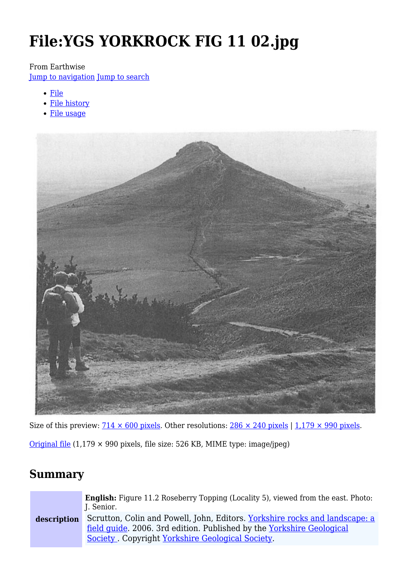# **File:YGS YORKROCK FIG 11 02.jpg**

#### From Earthwise

[Jump to navigation](#page--1-0) [Jump to search](#page--1-0)

- [File](#page--1-0)
- [File history](#page--1-0)
- [File usage](#page--1-0)



Size of this preview:  $\frac{714 \times 600 \text{ pixels}}{214}$ . Other resolutions:  $\frac{286 \times 240 \text{ pixels}}{1,179 \times 990 \text{ pixels}}$ .

[Original file](http://earthwise.bgs.ac.uk/images/3/3f/YGS_YORKROCK_FIG_11_02.jpg) (1,179 × 990 pixels, file size: 526 KB, MIME type: image/jpeg)

## **Summary**

| description | <b>English:</b> Figure 11.2 Roseberry Topping (Locality 5), viewed from the east. Photo:<br>J. Senior.                                                                                                   |
|-------------|----------------------------------------------------------------------------------------------------------------------------------------------------------------------------------------------------------|
|             | Scrutton, Colin and Powell, John, Editors. Yorkshire rocks and landscape: a<br>field quide. 2006. 3rd edition. Published by the Yorkshire Geological<br>Society. Copyright Yorkshire Geological Society. |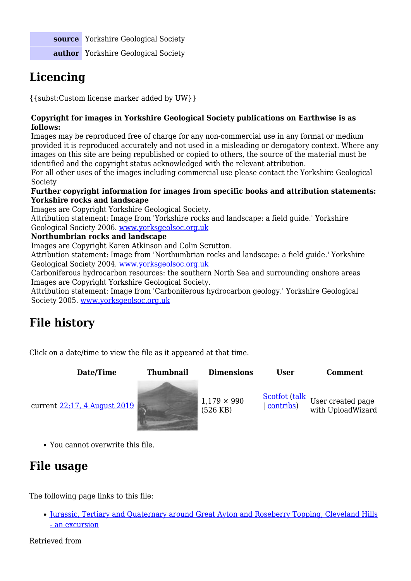**source** Yorkshire Geological Society **author** Yorkshire Geological Society

# **Licencing**

{{subst:Custom license marker added by UW}}

#### **Copyright for images in Yorkshire Geological Society publications on Earthwise is as follows:**

Images may be reproduced free of charge for any non-commercial use in any format or medium provided it is reproduced accurately and not used in a misleading or derogatory context. Where any images on this site are being republished or copied to others, the source of the material must be identified and the copyright status acknowledged with the relevant attribution.

For all other uses of the images including commercial use please contact the Yorkshire Geological Society

#### **Further copyright information for images from specific books and attribution statements: Yorkshire rocks and landscape**

Images are Copyright Yorkshire Geological Society.

Attribution statement: Image from 'Yorkshire rocks and landscape: a field guide.' Yorkshire Geological Society 2006. [www.yorksgeolsoc.org.uk](http://www.yorksgeolsoc.org.uk)

#### **Northumbrian rocks and landscape**

Images are Copyright Karen Atkinson and Colin Scrutton.

Attribution statement: Image from 'Northumbrian rocks and landscape: a field guide.' Yorkshire Geological Society 2004. [www.yorksgeolsoc.org.uk](http://www.yorksgeolsoc.org.uk)

Carboniferous hydrocarbon resources: the southern North Sea and surrounding onshore areas Images are Copyright Yorkshire Geological Society.

Attribution statement: Image from 'Carboniferous hydrocarbon geology.' Yorkshire Geological Society 2005. [www.yorksgeolsoc.org.uk](http://www.yorksgeolsoc.org.uk)

# **File history**

Click on a date/time to view the file as it appeared at that time.

**Date/Time Thumbnail Dimensions User Comment** current [22:17, 4 August 2019](http://earthwise.bgs.ac.uk/images/3/3f/YGS_YORKROCK_FIG_11_02.jpg) (526 KB) [Scotfot](http://earthwise.bgs.ac.uk/index.php/User:Scotfot) ([talk](http://earthwise.bgs.ac.uk/index.php/User_talk:Scotfot) | [contribs\)](http://earthwise.bgs.ac.uk/index.php/Special:Contributions/Scotfot) User created page with UploadWizard

You cannot overwrite this file.

# **File usage**

The following page links to this file:

• [Jurassic, Tertiary and Quaternary around Great Ayton and Roseberry Topping, Cleveland Hills](http://earthwise.bgs.ac.uk/index.php/Jurassic,_Tertiary_and_Quaternary_around_Great_Ayton_and_Roseberry_Topping,_Cleveland_Hills_-_an_excursion) [- an excursion](http://earthwise.bgs.ac.uk/index.php/Jurassic,_Tertiary_and_Quaternary_around_Great_Ayton_and_Roseberry_Topping,_Cleveland_Hills_-_an_excursion)

Retrieved from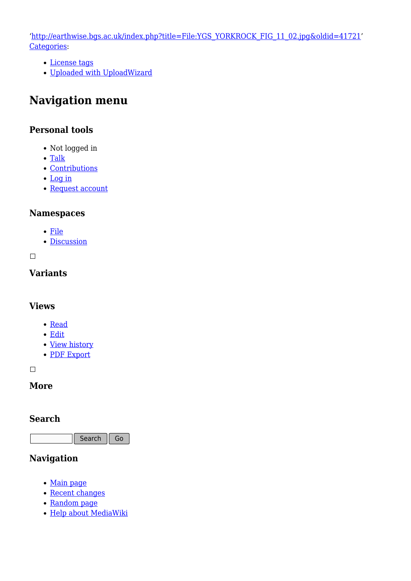'[http://earthwise.bgs.ac.uk/index.php?title=File:YGS\\_YORKROCK\\_FIG\\_11\\_02.jpg&oldid=41721'](http://earthwise.bgs.ac.uk/index.php?title=File:YGS_YORKROCK_FIG_11_02.jpg&oldid=41721) [Categories:](http://earthwise.bgs.ac.uk/index.php/Special:Categories)

- [License tags](http://earthwise.bgs.ac.uk/index.php/Category:License_tags)
- [Uploaded with UploadWizard](http://earthwise.bgs.ac.uk/index.php/Category:Uploaded_with_UploadWizard)

## **Navigation menu**

### **Personal tools**

- Not logged in
- [Talk](http://earthwise.bgs.ac.uk/index.php/Special:MyTalk)
- [Contributions](http://earthwise.bgs.ac.uk/index.php/Special:MyContributions)
- [Log in](http://earthwise.bgs.ac.uk/index.php?title=Special:UserLogin&returnto=File%3AYGS+YORKROCK+FIG+11+02.jpg&returntoquery=action%3Dmpdf)
- [Request account](http://earthwise.bgs.ac.uk/index.php/Special:RequestAccount)

### **Namespaces**

- [File](http://earthwise.bgs.ac.uk/index.php/File:YGS_YORKROCK_FIG_11_02.jpg)
- [Discussion](http://earthwise.bgs.ac.uk/index.php?title=File_talk:YGS_YORKROCK_FIG_11_02.jpg&action=edit&redlink=1)

 $\Box$ 

### **Variants**

### **Views**

- [Read](http://earthwise.bgs.ac.uk/index.php/File:YGS_YORKROCK_FIG_11_02.jpg)
- [Edit](http://earthwise.bgs.ac.uk/index.php?title=File:YGS_YORKROCK_FIG_11_02.jpg&action=edit)
- [View history](http://earthwise.bgs.ac.uk/index.php?title=File:YGS_YORKROCK_FIG_11_02.jpg&action=history)
- [PDF Export](http://earthwise.bgs.ac.uk/index.php?title=File:YGS_YORKROCK_FIG_11_02.jpg&action=mpdf)

 $\overline{\phantom{a}}$ 

### **More**

#### **Search**

Search  $\|$  Go

### **Navigation**

- [Main page](http://earthwise.bgs.ac.uk/index.php/Main_Page)
- [Recent changes](http://earthwise.bgs.ac.uk/index.php/Special:RecentChanges)
- [Random page](http://earthwise.bgs.ac.uk/index.php/Special:Random)
- [Help about MediaWiki](https://www.mediawiki.org/wiki/Special:MyLanguage/Help:Contents)